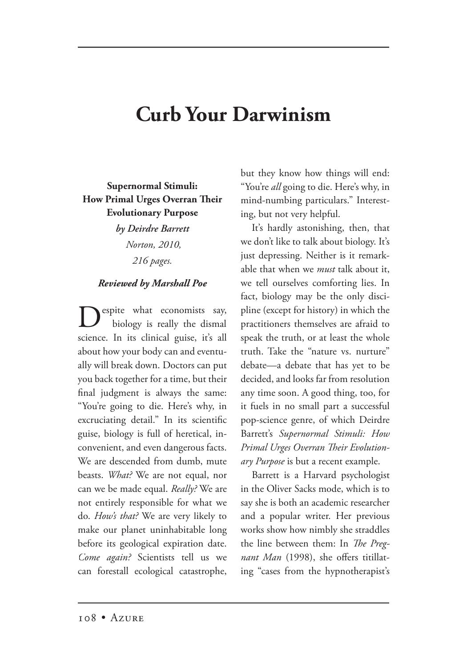## **Curb Your Darwinism**

**Supernormal Stimuli: How Primal Urges Overran Their Evolutionary Purpose**

> *by Deirdre Barrett Norton, 2010, 216 pages.*

## *Reviewed by Marshall Poe*

espite what economists say, biology is really the dismal science. In its clinical guise, it's all about how your body can and eventually will break down. Doctors can put you back together for a time, but their final judgment is always the same: "You're going to die. Here's why, in excruciating detail." In its scientific guise, biology is full of heretical, inconvenient, and even dangerous facts. We are descended from dumb, mute beasts. *What?* We are not equal, nor can we be made equal. *Really?* We are not entirely responsible for what we do. *How's that?* We are very likely to make our planet uninhabitable long before its geological expiration date. *Come again?* Scientists tell us we can forestall ecological catastrophe, but they know how things will end: "You're *all* going to die. Here's why, in mind-numbing particulars." Interesting, but not very helpful.

It's hardly astonishing, then, that we don't like to talk about biology. It's just depressing. Neither is it remarkable that when we *must* talk about it, we tell ourselves comforting lies. In fact, biology may be the only discipline (except for history) in which the practitioners themselves are afraid to speak the truth, or at least the whole truth. Take the "nature vs. nurture" debate—a debate that has yet to be decided, and looks far from resolution any time soon. A good thing, too, for it fuels in no small part a successful pop-science genre, of which Deirdre Barrett's *Supernormal Stimuli: How*  **Primal Urges Overran Their Evolution***ary Purpose* is but a recent example.

Barrett is a Harvard psychologist in the Oliver Sacks mode, which is to say she is both an academic researcher and a popular writer. Her previous works show how nimbly she straddles the line between them: In *The Pregnant Man* (1998), she offers titillating "cases from the hypnotherapist's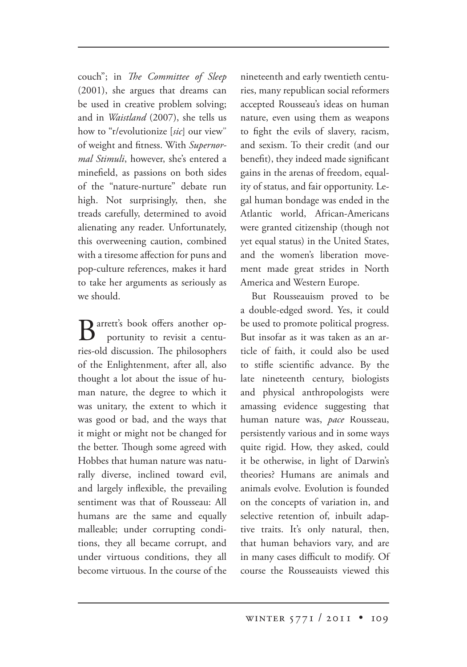couch"; in *The Committee of Sleep* (2001), she argues that dreams can be used in creative problem solving; and in *Waistland* (2007), she tells us how to "r/evolutionize [*sic*] our view" of weight and fitness. With *Supernormal Stimuli*, however, she's entered a minefield, as passions on both sides of the "nature-nurture" debate run high. Not surprisingly, then, she treads carefully, determined to avoid alienating any reader. Unfortunately, this overweening caution, combined with a tiresome affection for puns and pop-culture references, makes it hard to take her arguments as seriously as we should.

Barrett's book offers another op-<br>portunity to revisit a centuries-old discussion. The philosophers of the Enlightenment, after all, also thought a lot about the issue of human nature, the degree to which it was unitary, the extent to which it was good or bad, and the ways that it might or might not be changed for the better. Though some agreed with Hobbes that human nature was naturally diverse, inclined toward evil, and largely inflexible, the prevailing sentiment was that of Rousseau: All humans are the same and equally malleable; under corrupting conditions, they all became corrupt, and under virtuous conditions, they all become virtuous. In the course of the nineteenth and early twentieth centuries, many republican social reformers accepted Rousseau's ideas on human nature, even using them as weapons to fight the evils of slavery, racism, and sexism. To their credit (and our benefit), they indeed made significant gains in the arenas of freedom, equality of status, and fair opportunity. Legal human bondage was ended in the Atlantic world, African-Americans were granted citizenship (though not yet equal status) in the United States, and the women's liberation movement made great strides in North America and Western Europe.

But Rousseauism proved to be a double-edged sword. Yes, it could be used to promote political progress. But insofar as it was taken as an article of faith, it could also be used to stifle scientific advance. By the late nineteenth century, biologists and physical anthropologists were amassing evidence suggesting that human nature was, *pace* Rousseau, persistently various and in some ways quite rigid. How, they asked, could it be otherwise, in light of Darwin's theories? Humans are animals and animals evolve. Evolution is founded on the concepts of variation in, and selective retention of, inbuilt adaptive traits. It's only natural, then, that human behaviors vary, and are in many cases difficult to modify. Of course the Rousseauists viewed this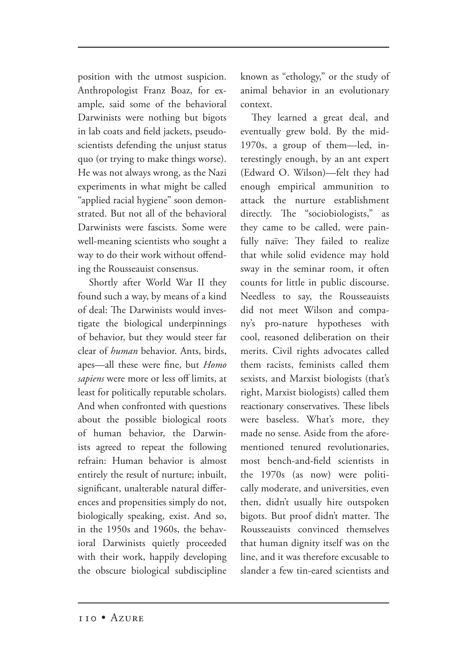position with the utmost suspicion. Anthropologist Franz Boaz, for example, said some of the behavioral Darwinists were nothing but bigots in lab coats and field jackets, pseudoscientists defending the unjust status quo (or trying to make things worse). He was not always wrong, as the Nazi experiments in what might be called "applied racial hygiene" soon demonstrated. But not all of the behavioral Darwinists were fascists. Some were well-meaning scientists who sought a way to do their work without offending the Rousseauist consensus.

Shortly after World War II they found such a way, by means of a kind of deal: The Darwinists would investigate the biological underpinnings of behavior, but they would steer far clear of *human* behavior. Ants, birds, apes—all these were fine, but *Homo sapiens* were more or less off limits, at least for politically reputable scholars. And when confronted with questions about the possible biological roots of human behavior, the Darwinists agreed to repeat the following refrain: Human behavior is almost entirely the result of nurture; inbuilt, significant, unalterable natural differences and propensities simply do not, biologically speaking, exist. And so, in the 1950s and 1960s, the behavioral Darwinists quietly proceeded with their work, happily developing the obscure biological subdiscipline known as "ethology," or the study of animal behavior in an evolutionary context.

They learned a great deal, and eventually grew bold. By the mid-1970s, a group of them—led, interestingly enough, by an ant expert (Edward O. Wilson)—felt they had enough empirical ammunition to attack the nurture establishment directly. The "sociobiologists," as they came to be called, were painfully naïve: They failed to realize that while solid evidence may hold sway in the seminar room, it often counts for little in public discourse. Needless to say, the Rousseauists did not meet Wilson and company's pro-nature hypotheses with cool, reasoned deliberation on their merits. Civil rights advocates called them racists, feminists called them sexists, and Marxist biologists (that's right, Marxist biologists) called them reactionary conservatives. These libels were baseless. What's more, they made no sense. Aside from the aforementioned tenured revolutionaries, most bench-and-field scientists in the 1970s (as now) were politically moderate, and universities, even then, didn't usually hire outspoken bigots. But proof didn't matter. The Rousseauists convinced themselves that human dignity itself was on the line, and it was therefore excusable to slander a few tin-eared scientists and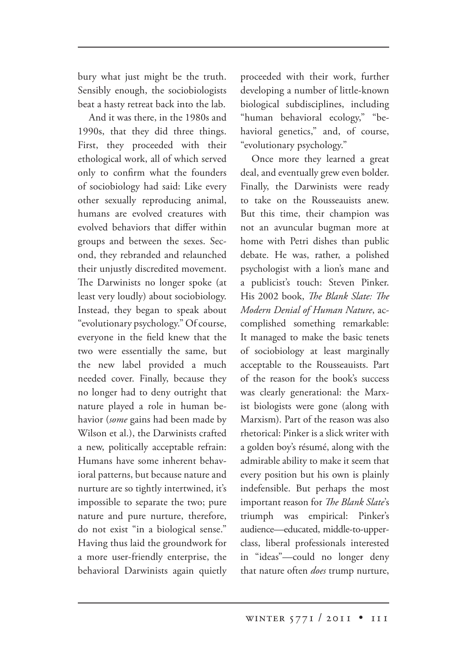bury what just might be the truth. Sensibly enough, the sociobiologists beat a hasty retreat back into the lab.

And it was there, in the 1980s and 1990s, that they did three things. First, they proceeded with their ethological work, all of which served only to confirm what the founders of sociobiology had said: Like every other sexually reproducing animal, humans are evolved creatures with evolved behaviors that differ within groups and between the sexes. Second, they rebranded and relaunched their unjustly discredited movement. The Darwinists no longer spoke (at least very loudly) about sociobiology. Instead, they began to speak about "evolutionary psychology." Of course, everyone in the field knew that the two were essentially the same, but the new label provided a much needed cover. Finally, because they no longer had to deny outright that nature played a role in human behavior (*some* gains had been made by Wilson et al.), the Darwinists crafted a new, politically acceptable refrain: Humans have some inherent behavioral patterns, but because nature and nurture are so tightly intertwined, it's impossible to separate the two; pure nature and pure nurture, therefore, do not exist "in a biological sense." Having thus laid the groundwork for a more user-friendly enterprise, the behavioral Darwinists again quietly

proceeded with their work, further developing a number of little-known biological subdisciplines, including "human behavioral ecology," "behavioral genetics," and, of course, "evolutionary psychology."

Once more they learned a great deal, and eventually grew even bolder. Finally, the Darwinists were ready to take on the Rousseauists anew. But this time, their champion was not an avuncular bugman more at home with Petri dishes than public debate. He was, rather, a polished psychologist with a lion's mane and a publicist's touch: Steven Pinker. His 2002 book, *The Blank Slate: The Modern Denial of Human Nature*, accomplished something remarkable: It managed to make the basic tenets of sociobiology at least marginally acceptable to the Rousseauists. Part of the reason for the book's success was clearly generational: the Marxist biologists were gone (along with Marxism). Part of the reason was also rhetorical: Pinker is a slick writer with a golden boy's résumé, along with the admirable ability to make it seem that every position but his own is plainly indefensible. But perhaps the most important reason for *The Blank Slate's* triumph was empirical: Pinker's audience—educated, middle-to-upperclass, liberal professionals interested in "ideas"—could no longer deny that nature often *does* trump nurture,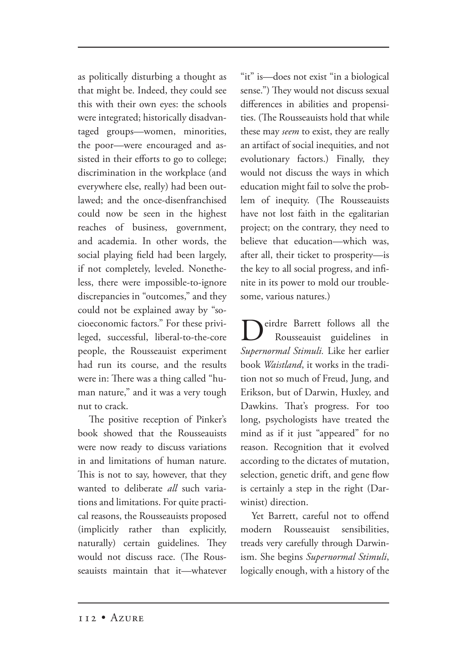as politically disturbing a thought as that might be. Indeed, they could see this with their own eyes: the schools were integrated; historically disadvantaged groups—women, minorities, the poor—were encouraged and assisted in their efforts to go to college; discrimination in the workplace (and everywhere else, really) had been outlawed; and the once-disenfranchised could now be seen in the highest reaches of business, government, and academia. In other words, the social playing field had been largely, if not completely, leveled. Nonetheless, there were impossible-to-ignore discrepancies in "outcomes," and they could not be explained away by "socioeconomic factors." For these privileged, successful, liberal-to-the-core people, the Rousseauist experiment had run its course, and the results were in: There was a thing called "human nature," and it was a very tough nut to crack.

The positive reception of Pinker's book showed that the Rousseauists were now ready to discuss variations in and limitations of human nature. This is not to say, however, that they wanted to deliberate all such variations and limitations. For quite practical reasons, the Rousseauists proposed (implicitly rather than explicitly, naturally) certain guidelines. They would not discuss race. (The Rousseauists maintain that it—whatever "it" is—does not exist "in a biological sense.") They would not discuss sexual differences in abilities and propensities. (The Rousseauists hold that while these may *seem* to exist, they are really an artifact of social inequities, and not evolutionary factors.) Finally, they would not discuss the ways in which education might fail to solve the problem of inequity. (The Rousseauists have not lost faith in the egalitarian project; on the contrary, they need to believe that education—which was, after all, their ticket to prosperity—is the key to all social progress, and infinite in its power to mold our troublesome, various natures.)

eirdre Barrett follows all the<br>Rousseauist guidelines in Rousseauist guidelines *Supernormal Stimuli.* Like her earlier book *Waistland*, it works in the tradition not so much of Freud, Jung, and Erikson, but of Darwin, Huxley, and Dawkins. That's progress. For too long, psychologists have treated the mind as if it just "appeared" for no reason. Recognition that it evolved according to the dictates of mutation, selection, genetic drift, and gene flow is certainly a step in the right (Darwinist) direction.

Yet Barrett, careful not to offend modern Rousseauist sensibilities, treads very carefully through Darwinism. She begins *Supernormal Stimuli*, logically enough, with a history of the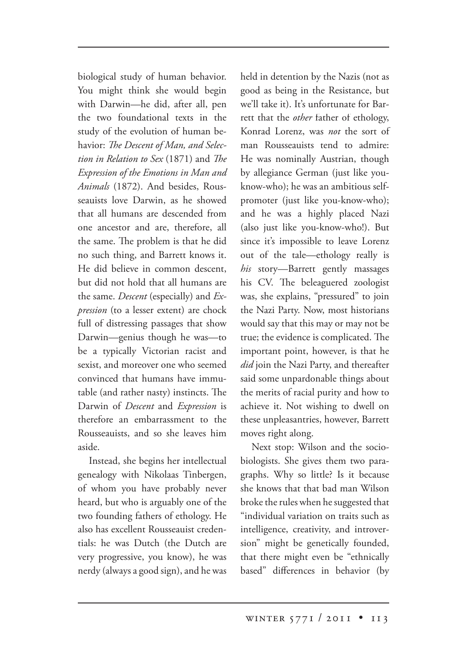biological study of human behavior. You might think she would begin with Darwin—he did, after all, pen the two foundational texts in the study of the evolution of human behavior: The Descent of Man, and Selec*tion in Relation to Sex* (1871) and *The Expression of the Emotions in Man and Animals* (1872). And besides, Rousseauists love Darwin, as he showed that all humans are descended from one ancestor and are, therefore, all the same. The problem is that he did no such thing, and Barrett knows it. He did believe in common descent, but did not hold that all humans are the same. *Descent* (especially) and *Expression* (to a lesser extent) are chock full of distressing passages that show Darwin—genius though he was—to be a typically Victorian racist and sexist, and moreover one who seemed convinced that humans have immutable (and rather nasty) instincts. The Darwin of *Descent* and *Expression* is therefore an embarrassment to the Rousseauists, and so she leaves him aside.

Instead, she begins her intellectual genealogy with Nikolaas Tinbergen, of whom you have probably never heard, but who is arguably one of the two founding fathers of ethology. He also has excellent Rousseauist credentials: he was Dutch (the Dutch are very progressive, you know), he was nerdy (always a good sign), and he was held in detention by the Nazis (not as good as being in the Resistance, but we'll take it). It's unfortunate for Barrett that the *other* father of ethology, Konrad Lorenz, was *not* the sort of man Rousseauists tend to admire: He was nominally Austrian, though by allegiance German (just like youknow-who); he was an ambitious selfpromoter (just like you-know-who); and he was a highly placed Nazi (also just like you-know-who!). But since it's impossible to leave Lorenz out of the tale—ethology really is *his* story—Barrett gently massages his CV. The beleaguered zoologist was, she explains, "pressured" to join the Nazi Party. Now, most historians would say that this may or may not be true; the evidence is complicated. The important point, however, is that he *did* join the Nazi Party, and thereafter said some unpardonable things about the merits of racial purity and how to achieve it. Not wishing to dwell on these unpleasantries, however, Barrett moves right along.

Next stop: Wilson and the sociobiologists. She gives them two paragraphs. Why so little? Is it because she knows that that bad man Wilson broke the rules when he suggested that "individual variation on traits such as intelligence, creativity, and introversion" might be genetically founded, that there might even be "ethnically based" differences in behavior (by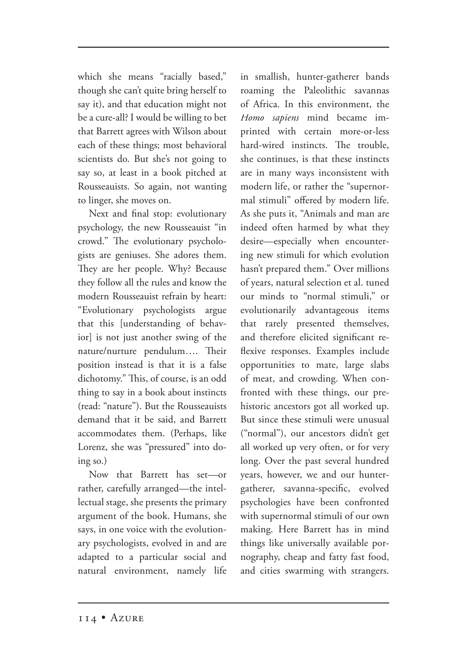which she means "racially based," though she can't quite bring herself to say it), and that education might not be a cure-all? I would be willing to bet that Barrett agrees with Wilson about each of these things; most behavioral scientists do. But she's not going to say so, at least in a book pitched at Rousseauists. So again, not wanting to linger, she moves on.

Next and final stop: evolutionary psychology, the new Rousseauist "in crowd." The evolutionary psychologists are geniuses. She adores them. They are her people. Why? Because they follow all the rules and know the modern Rousseauist refrain by heart: "Evolutionary psychologists argue that this [understanding of behavior] is not just another swing of the nature/nurture pendulum.... Their position instead is that it is a false dichotomy." This, of course, is an odd thing to say in a book about instincts (read: "nature"). But the Rousseauists demand that it be said, and Barrett accommodates them. (Perhaps, like Lorenz, she was "pressured" into doing so.)

Now that Barrett has set—or rather, carefully arranged—the intellectual stage, she presents the primary argument of the book. Humans, she says, in one voice with the evolutionary psychologists, evolved in and are adapted to a particular social and natural environment, namely life in smallish, hunter-gatherer bands roaming the Paleolithic savannas of Africa. In this environment, the *Homo sapiens* mind became imprinted with certain more-or-less hard-wired instincts. The trouble, she continues, is that these instincts are in many ways inconsistent with modern life, or rather the "supernormal stimuli" offered by modern life. As she puts it, "Animals and man are indeed often harmed by what they desire—especially when encountering new stimuli for which evolution hasn't prepared them." Over millions of years, natural selection et al. tuned our minds to "normal stimuli," or evolutionarily advantageous items that rarely presented themselves, and therefore elicited significant reflexive responses. Examples include opportunities to mate, large slabs of meat, and crowding. When confronted with these things, our prehistoric ancestors got all worked up. But since these stimuli were unusual ("normal"), our ancestors didn't get all worked up very often, or for very long. Over the past several hundred years, however, we and our huntergatherer, savanna-specific, evolved psychologies have been confronted with supernormal stimuli of our own making. Here Barrett has in mind things like universally available pornography, cheap and fatty fast food, and cities swarming with strangers.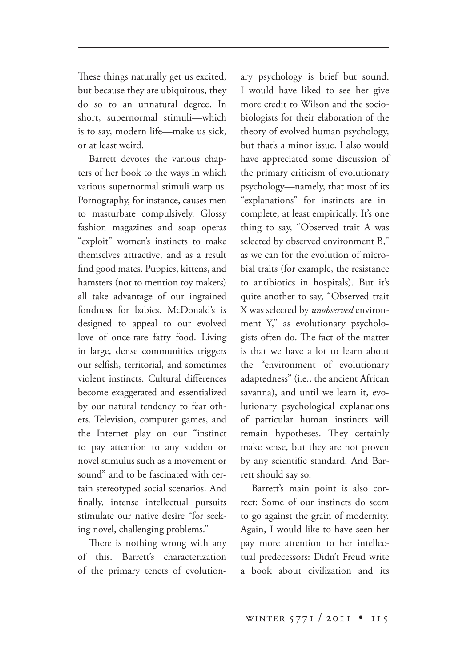These things naturally get us excited, but because they are ubiquitous, they do so to an unnatural degree. In short, supernormal stimuli—which is to say, modern life—make us sick, or at least weird.

Barrett devotes the various chapters of her book to the ways in which various supernormal stimuli warp us. Pornography, for instance, causes men to masturbate compulsively. Glossy fashion magazines and soap operas "exploit" women's instincts to make themselves attractive, and as a result find good mates. Puppies, kittens, and hamsters (not to mention toy makers) all take advantage of our ingrained fondness for babies. McDonald's is designed to appeal to our evolved love of once-rare fatty food. Living in large, dense communities triggers our selfish, territorial, and sometimes violent instincts. Cultural differences become exaggerated and essentialized by our natural tendency to fear others. Television, computer games, and the Internet play on our "instinct to pay attention to any sudden or novel stimulus such as a movement or sound" and to be fascinated with certain stereotyped social scenarios. And finally, intense intellectual pursuits stimulate our native desire "for seeking novel, challenging problems."

There is nothing wrong with any of this. Barrett's characterization of the primary tenets of evolutionary psychology is brief but sound. I would have liked to see her give more credit to Wilson and the sociobiologists for their elaboration of the theory of evolved human psychology, but that's a minor issue. I also would have appreciated some discussion of the primary criticism of evolutionary psychology—namely, that most of its "explanations" for instincts are incomplete, at least empirically. It's one thing to say, "Observed trait A was selected by observed environment B," as we can for the evolution of microbial traits (for example, the resistance to antibiotics in hospitals). But it's quite another to say, "Observed trait X was selected by *unobserved* environment Y," as evolutionary psychologists often do. The fact of the matter is that we have a lot to learn about the "environment of evolutionary adaptedness" (i.e., the ancient African savanna), and until we learn it, evolutionary psychological explanations of particular human instincts will remain hypotheses. They certainly make sense, but they are not proven by any scientific standard. And Barrett should say so.

Barrett's main point is also correct: Some of our instincts do seem to go against the grain of modernity. Again, I would like to have seen her pay more attention to her intellectual predecessors: Didn't Freud write a book about civilization and its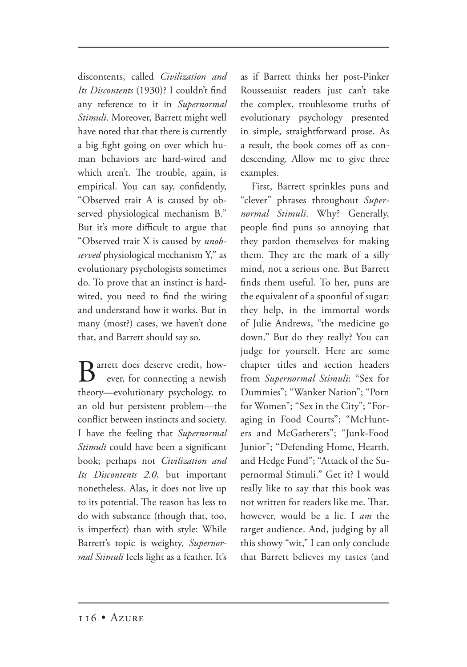discontents, called *Civilization and Its Discontents* (1930)? I couldn't find any reference to it in *Supernormal Stimuli*. Moreover, Barrett might well have noted that that there is currently a big fight going on over which human behaviors are hard-wired and which aren't. The trouble, again, is empirical. You can say, confidently, "Observed trait A is caused by observed physiological mechanism B." But it's more difficult to argue that "Observed trait X is caused by *unobserved* physiological mechanism Y," as evolutionary psychologists sometimes do. To prove that an instinct is hardwired, you need to find the wiring and understand how it works. But in many (most?) cases, we haven't done that, and Barrett should say so.

**D** arrett does deserve credit, how ever, for connecting a newish theory—evolutionary psychology, to an old but persistent problem—the conflict between instincts and society. I have the feeling that *Supernormal Stimuli* could have been a significant book; perhaps not *Civilization and Its Discontents 2.0*, but important nonetheless. Alas, it does not live up to its potential. The reason has less to do with substance (though that, too, is imperfect) than with style: While Barrett's topic is weighty, *Supernormal Stimuli* feels light as a feather. It's

as if Barrett thinks her post-Pinker Rousseauist readers just can't take the complex, troublesome truths of evolutionary psychology presented in simple, straightforward prose. As a result, the book comes off as condescending. Allow me to give three examples.

First, Barrett sprinkles puns and "clever" phrases throughout *Supernormal Stimuli*. Why? Generally, people find puns so annoying that they pardon themselves for making them. They are the mark of a silly mind, not a serious one. But Barrett finds them useful. To her, puns are the equivalent of a spoonful of sugar: they help, in the immortal words of Julie Andrews, "the medicine go down." But do they really? You can judge for yourself. Here are some chapter titles and section headers from *Supernormal Stimuli*: "Sex for Dummies"; "Wanker Nation"; "Porn for Women"; "Sex in the City"; "Foraging in Food Courts"; "McHunters and McGatherers"; "Junk-Food Junior"; "Defending Home, Hearth, and Hedge Fund"; "Attack of the Supernormal Stimuli." Get it? I would really like to say that this book was not written for readers like me. That, however, would be a lie. I *am* the target audience. And, judging by all this showy "wit," I can only conclude that Barrett believes my tastes (and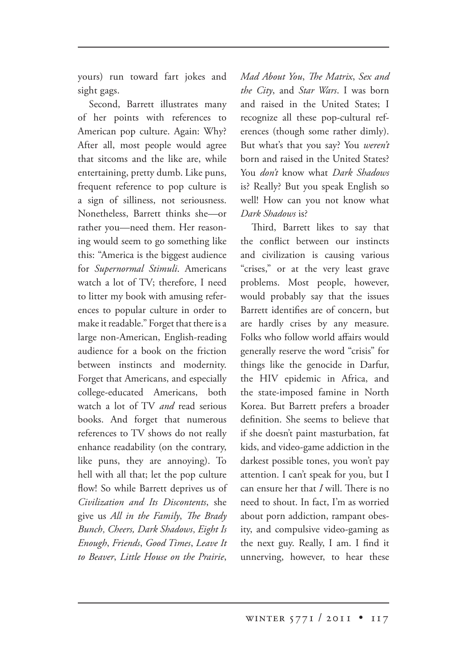yours) run toward fart jokes and sight gags.

Second, Barrett illustrates many of her points with references to American pop culture. Again: Why? After all, most people would agree that sitcoms and the like are, while entertaining, pretty dumb. Like puns, frequent reference to pop culture is a sign of silliness, not seriousness. Nonetheless, Barrett thinks she—or rather you—need them. Her reasoning would seem to go something like this: "America is the biggest audience for *Supernormal Stimuli*. Americans watch a lot of TV; therefore, I need to litter my book with amusing references to popular culture in order to make it readable." Forget that there is a large non-American, English-reading audience for a book on the friction between instincts and modernity. Forget that Americans, and especially college-educated Americans, both watch a lot of TV *and* read serious books. And forget that numerous references to TV shows do not really enhance readability (on the contrary, like puns, they are annoying). To hell with all that; let the pop culture flow! So while Barrett deprives us of *Civilization and Its Discontents*, she give us *All in the Family*, *The Brady Bunch*, *Cheers, Dark Shadows*, *Eight Is Enough*, *Friends*, *Good Times*, *Leave It to Beaver*, *Little House on the Prairie*,

*Mad About You, The Matrix, Sex and the City*, and *Star Wars*. I was born and raised in the United States; I recognize all these pop-cultural references (though some rather dimly). But what's that you say? You *weren't* born and raised in the United States? You *don't* know what *Dark Shadows* is? Really? But you speak English so well! How can you not know what *Dark Shadows* is?

Third, Barrett likes to say that the conflict between our instincts and civilization is causing various "crises," or at the very least grave problems. Most people, however, would probably say that the issues Barrett identifies are of concern, but are hardly crises by any measure. Folks who follow world affairs would generally reserve the word "crisis" for things like the genocide in Darfur, the HIV epidemic in Africa, and the state-imposed famine in North Korea. But Barrett prefers a broader definition. She seems to believe that if she doesn't paint masturbation, fat kids, and video-game addiction in the darkest possible tones, you won't pay attention. I can't speak for you, but I can ensure her that *I* will. There is no need to shout. In fact, I'm as worried about porn addiction, rampant obesity, and compulsive video-gaming as the next guy. Really, I am. I find it unnerving, however, to hear these